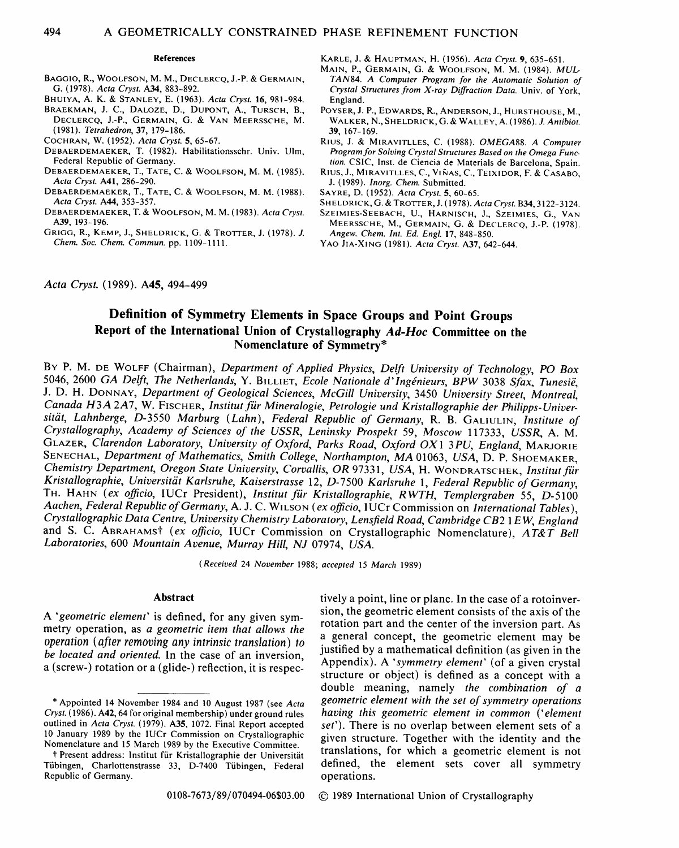### **References**

- BAGG10, R., WOOLFSON, M. M., DECLERCQ, J.-P. & GERMAIN, G. (1978). *Acta Cryst.* A34, 883-892.
- BHUIYA, A. K. & STANLEY, E. (1963). *Acta Cryst.* 16, 981-984.
- BRAEKMAN, J. C., DALOZE, D., DUPONT, A., TURSCH, B., DECLERCQ, J.-P., GERMAIN, G. & VAN MEERSSCHE, M. (1981). *Tetrahedron,* 37, 179-186.
- COCHRAN, W. (1952). *Acta Cryst.* 5, 65-67.
- DEBAERDEMAEKER, T. (1982). Habilitationsschr. Univ. UIm, Federal Republic of Germany.
- DEBAERDEMAEKER, T., TATE, C. & WOOLFSON, M. M. (1985). *Acta Cryst.* A41,286-290.
- DEBAERDEMAEKER, Z., TATE, C. & WOOLFSON, M. M. (1988). *Acta Cryst.* A44, 353-357.
- DEBAERDEMAEKER, T. & WOOLFSON, M. M. (1983). *Acta Cryst.* A39, 193-196.
- GRIGG, R., KEMP, J., SHELDR1CK, G. & TROTTER, J. (1978). J. *Chem. Soc. Chem. Commun.* pp. 1109-1111.

KARLE, J. & HAUPTMAN, H. (1956). *Acta Cryst.* 9, 635-651.

- MAIN, P., GERMAIN, G. & WOOLFSON, M. M. (1984). *MUL-TAN84. A Computer Program for the Automatic Solution of Crystal Structures from X-ray Diffraction Data.* Univ. of York, England.
- POYSER, J. P., EDWARDS, R., ANDERSON, J., HURSTHOUSE, M., WALKER, N., SHELDRICK, G. & WALLEY, A. (1986). J. Antibiot. 39, 167-169.
- RIUS, J. & MIRAVITLLES, C. (1988). *OMEGA88. A Computer Program for Solving Crystal Structures Based on the Omega Function. CSIC,* Inst. de Ciencia de Materials de Barcelona, Spain.
- RIUS, J., MIRAVITLLES, C., VIÑAS, C., TEIXIDOR, F. & CASABO, J. (1989). *Inorg. Chem.* Submitted.
- SAYRE, D. (1952). *Acta Cryst.* 5, 60-65.
- SHELDRICK, G. & TROTTER, J. (1978). *Acta Cryst.* **B34**, 3122-3124.
- SZEIM1ES-SEEBACH, U., HARN1SCH, J., SZE1MIES, G., VAN MEERSSCHE, M., GERMAIN, G. & DECLERCQ, J.-P. (1978). *Angew. Chem. Int. Ed. Engl.* 17, 848-850.
- YAO JIA-XING (1981). *Acta Cryst.* A37, 642-644.

*Acta Cryst.* (1989). A45, 494-499

# **Definition of Symmetry Elements in Space Groups and Point Groups Report of the International Union of Crystallography** *Ad-Hoc* **Committee on the Nomenclature of Symmetry\***

By P. M. DE WOLFF (Chairman), *Department of Applied Physics, Delft University of Technology, PO Box*  5046, 2600 *GA Delft, The Netherlands, Y. BILLIET, Ecole Nationale d'Ingénieurs, BPW 3038 Sfax, Tunesië,* J. D. H. DONNAY, *Department of Geological Sciences, McGill University,* 3450 *University Street, Montreal,*  Canada H3A 2A7, W. FISCHER, *Institut für Mineralogie, Petrologie und Kristallographie der Philipps-Universit?it, Lahnberge,* D-3550 *Marburg (Lahn), Federal Republic of Germany,* R. B. GALIUL1N, *Institute of Crystallography, Academy of Sciences of the USSR, Leninsky Prospekt* 59, *Moscow* 117333, *USSR, A. M.*  GLAZER, Clarendon Laboratory, University of Oxford, Parks Road, Oxford OX1 3PU, England, MARJORIE SENECHAL, *Department of Mathematics, Smith College, Northampton, MA* 01063, *USA,* D. P. SHOEMAKER, *Chemistry Department, Oregon State University, Corvallis, OR* 97331, *USA,* H. WONDRATSCHEK, *Institut fiir Kristallographie, Universit?it Karlsruhe, Kaiserstrasse* 12, D-7500 *Karlsruhe* 1, *Federal Republic of Germany,*  TH. HAHN *(ex officio,* IUCr President), *Institut fiir Kristallographie, RWTH, Templergraben* 55, D-5100 *Aachen, Federal Republic of Germany,* A. J. C. WILSON *( ex officio,* IUCr Commission on *International Tables), Crystallographic Data Centre, University Chemistry Laboratory, Lensfield Road, Cambridge CB2 1 EW, England*  and S. C. ABRAHAMSt *(ex officio,* IUCr Commission on Crystallographic Nomenclature), *AT&T Bell Laboratories,* 600 *Mountain Avenue, Murray Hill, NJ* 07974, *USA.* 

*(Received* 24 *November* 1988; *accepted* 15 *March* 1989)

### **Abstract**

*A 'geometric element'* is defined, for any given symmetry operation, as *a geometric item that allows the operation (after removing any intrinsic translation) to be located and oriented.* In the case of an inversion, a (screw-) rotation or a (glide-) reflection, it is respectively a point, line or plane. In the case of a rotoinversion, the geometric element consists of the axis of the rotation part and the center of the inversion part. As a general concept, the geometric element may be justified by a mathematical definition (as given in the Appendix). A *"symmetry element"* (of a given crystal structure or object) is defined as a concept with a double meaning, namely *the combination of a geometric element with the set of symmetry operations having this geometric element in common ('element set').* There is no overlap between element sets of a given structure. Together with the identity and the translations, for which a geometric element is not defined, the element sets cover all symmetry operations.

0108-7673/89/070494-06503.00 © 1989 International Union of Crystallography

<sup>\*</sup> Appointed 14 November 1984 and 10 August 1987 (see *Acta Cryst.* (1986). A42, 64 for original membership) under ground rules outlined in *Acta Cryst.* (1979). A35, 1072. Final Report accepted 10 January 1989 by the IUCr Commission on Crystallographic Nomenclature and 15 March 1989 by the Executive Committee.

t Present address: Institut für Kristallographie der Universität Tiibingen, Charlottenstrasse 33, D-7400 T/ibingen, **Federal**  Republic of Germany.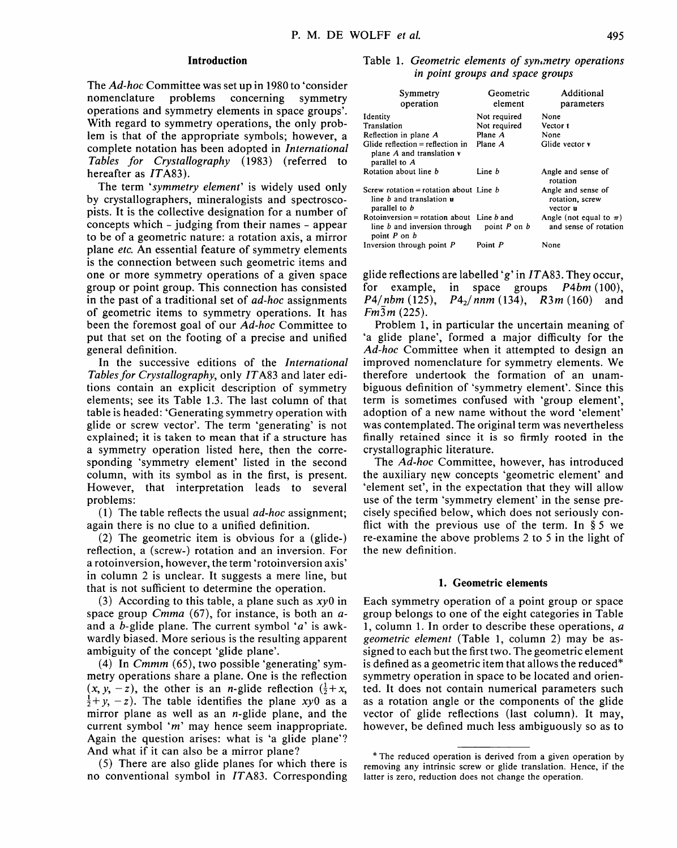## **Introduction**

The *Ad-hoc* Committee was set up in 1980 to 'consider<br>nomenclature problems concerning symmetry problems concerning symmetry operations and symmetry elements in space groups'. With regard to symmetry operations, the only problem is that of the appropriate symbols; however, a complete notation has been adopted in *International Tables for Crystallography* (1983) (referred to hereafter as ITA83).

The term *"symmetry element'* is widely used only by crystallographers, mineralogists and spectroscopists. It is the collective designation for a number of concepts which - judging from their names - appear to be of a geometric nature: a rotation axis, a mirror plane *etc.* An essential feature of symmetry elements is the connection between such geometric items and one or more symmetry operations of a given space group or point group. This connection has consisted in the past of a traditional set of *ad-hoc* assignments of geometric items to symmetry operations. It has been the foremost goal of our *Ad-hoc* Committee to put that set on the footing of a precise and unified general definition.

In the successive editions of the *International Tables for Crystallography,* only ITA83 and later editions contain an explicit description of symmetry elements; see its Table 1.3. The last column of that table is headed: 'Generating symmetry operation with glide or screw vector'. The term 'generating' is not explained; it is taken to mean that if a structure has a symmetry operation listed here, then the corresponding 'symmetry element' listed in the second column, with its symbol as in the first, is present. However, that interpretation leads to several problems:

(1) The table reflects the usual *ad-hoc* assignment; again there is no clue to a unified definition.

(2) The geometric item is obvious for a (glide-) reflection, a (screw-) rotation and an inversion. For a rotoinversion, however, the term 'rotoinversion axis' in column 2 is unclear. It suggests a mere line, but that is not sufficient to determine the operation.

(3) According to this table, a plane such as *xyO* in space group *Cmma* (67), for instance, is both an aand a b-glide plane. The current symbol *'a'* is awkwardly biased. More serious is the resulting apparent ambiguity of the concept 'glide plane'.

(4) In *Cmmm* (65), two possible 'generating' symmetry operations share a plane. One is the reflection  $(x, y, -z)$ , the other is an *n*-glide reflection  $(\frac{1}{2}+x,$  $\frac{1}{2} + y$ , -z). The table identifies the plane *xy*O as a mirror plane as well as an *n*-glide plane, and the current symbol 'm' may hence seem inappropriate. Again the question arises: what is 'a glide plane'? And what if it can also be a mirror plane?

(5) There are also glide planes for which there is no conventional symbol in ITA83. Corresponding

## Table 1. *Geometric elements of symmetry operations in point groups and space groups*

| Symmetry<br>operation                                                                               | Geometric<br>element | Additional<br>parameters                             |
|-----------------------------------------------------------------------------------------------------|----------------------|------------------------------------------------------|
| Identity                                                                                            | Not required         | None                                                 |
| Translation                                                                                         | Not required         | Vector t                                             |
| Reflection in plane A                                                                               | Plane A              | None                                                 |
| Glide reflection $=$ reflection in<br>plane $A$ and translation $v$<br>parallel to A                | Plane A              | Glide vector v                                       |
| Rotation about line b                                                                               | Line <i>h</i>        | Angle and sense of<br>rotation                       |
| Screw rotation = rotation about Line $b$<br>line <i>b</i> and translation <b>u</b><br>parallel to b |                      | Angle and sense of<br>rotation, screw<br>vector u    |
| Rotoinversion = rotation about Line $b$ and<br>line $b$ and inversion through<br>point P on b       | point P on b         | Angle (not equal to $\pi$ )<br>and sense of rotation |
| Inversion through point P                                                                           | Point P              | None                                                 |

glide reflections are labelled 'g' in ITA83. They occur, for example, in space groups *P4bm* (100), *P4/nbm* (125), *P4<sub>2</sub>/nnm* (134), *R3m* (160) and *Fm3m* (225).

Problem 1, in particular the uncertain meaning of 'a glide plane', formed a major difficulty for the *Ad-hoc* Committee when it attempted to design an improved nomenclature for symmetry elements. We therefore undertook the formation of an unambiguous definition of 'symmetry element'. Since this term is sometimes confused with 'group element', adoption of a new name without the word 'element' was contemplated. The original term was nevertheless finally retained since it is so firmly rooted in the crystallographic literature.

The *Ad-hoc* Committee, however, has introduced the auxiliary new concepts 'geometric element' and 'element set', in the expectation that they will allow use of the term 'symmetry element' in the sense precisely specified below, which does not seriously conflict with the previous use of the term. In  $§ 5$  we re-examine the above problems 2 to 5 in the light of the new definition.

### **1. Geometric elements**

Each symmetry operation of a point group or space group belongs to one of the eight categories in Table 1, column 1. In order to describe these operations, a *geometric element* (Table 1, column 2) may be assigned to each but the first two. The geometric element is defined as a geometric item that allows the reduced\* symmetry operation in space to be located and oriented. It does not contain numerical parameters such as a rotation angle or the components of the glide vector of glide reflections (last column). It may, however, be defined much less ambiguously so as to

<sup>\*</sup> The reduced operation is derived from a given operation by removing any intrinsic screw or glide translation. Hence, if the latter is zero, reduction does not change the operation.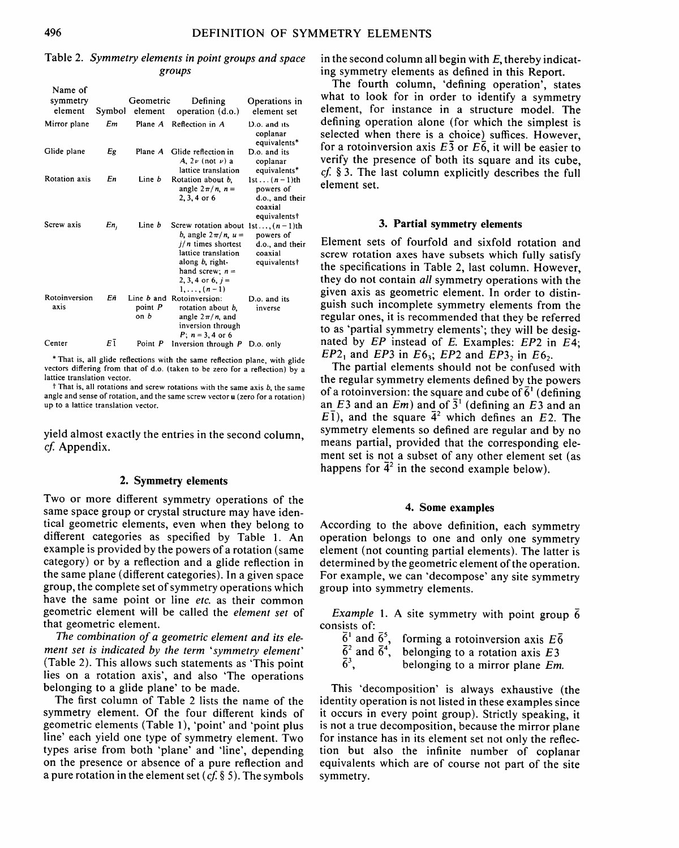Table 2. *Symmetry elements in point groups and space groups* 

| Name of<br>symmetry<br>element | Symbol | Geometric<br>element | Defining<br>operation $(d.o.)$                                                                                                                                                                        | Operations in<br>element set                                                        |
|--------------------------------|--------|----------------------|-------------------------------------------------------------------------------------------------------------------------------------------------------------------------------------------------------|-------------------------------------------------------------------------------------|
| Mirror plane                   | Em     | Plane A              | Reflection in A                                                                                                                                                                                       | D.o. and its<br>coplanar<br>equivalents*                                            |
| Glide plane                    | Еg     | Plane A              | Glide reflection in<br>$A, 2\nu$ (not $\nu$ ) a<br>lattice translation                                                                                                                                | D.o. and its<br>coplanar<br>equivalents*                                            |
| <b>Rotation</b> axis           | En     | Line b               | Rotation about b,<br>angle $2\pi/n$ , $n =$<br>$2, 3, 4$ or 6                                                                                                                                         | 1st $(n-1)$ th<br>powers of<br>d.o., and their<br>coaxial<br>equivalents†           |
| Screw axis                     | En,    | Line b               | Screw rotation about<br><i>b</i> , angle $2\pi/n$ , $u =$<br>$j/n$ times shortest<br>lattice translation<br>along <i>b</i> , right-<br>hand screw; $n =$<br>2, 3, 4 or 6, $j =$<br>$1, \ldots, (n-1)$ | $1st \ldots$ , $(n-1)th$<br>powers of<br>d.o., and their<br>coaxial<br>equivalents† |
| Rotoinversion<br>axis          | Еñ     | point P<br>on b      | Line b and Rotoinversion:<br>rotation about b.<br>angle $2\pi/n$ , and<br>inversion through<br>$P$ ; $n = 3, 4$ or 6                                                                                  | D.o. and its<br>inverse                                                             |
| Center                         | ΕĪ     | Point P              | Inversion through P                                                                                                                                                                                   | D.o. only                                                                           |

\* That is, all glide reflections with the same reflection plane, with glide vectors differing from that of d.o. (taken to be zero for a reflection) by a lattice translation vector.

 $\dagger$  That is, all rotations and screw rotations with the same axis  $b$ , the same angle and sense of rotation, and the same screw vector u (zero for a rotation) up to a lattice translation vector.

yield almost exactly the entries in the second column, cf. Appendix.

### **2. Symmetry elements**

Two or more different symmetry operations of the same space group or crystal structure may have identical geometric elements, even when they belong to different categories as specified by Table 1. An example is provided by the powers of a rotation (same category) or by a reflection and a glide reflection in the same plane (different categories). In a given space group, the complete set of symmetry operations which have the same point or line *etc.* as their common geometric element will be called the *element set* of that geometric element.

*The combination of a geometric element and its element set is indicated by the term 'symmetry element'*  (Table 2). This allows such statements as 'This point lies on a rotation axis', and also 'The operations belonging to a glide plane' to be made.

The first column of Table 2 lists the name of the symmetry element. Of the four different kinds of geometric elements (Table 1), 'point' and "point plus line' each yield one type of symmetry element. Two types arise from both 'plane' and 'line', depending on the presence or absence of a pure reflection and a pure rotation in the element set ( $cf. § 5$ ). The symbols in the second column all begin with  $E$ , thereby indicating symmetry elements as defined in this Report.

The fourth column, 'defining operation', states what to look for in order to identify a symmetry element, for instance in a structure model. The defining operation alone (for which the simplest is selected when there is a choice) suffices. However, for a rotoinversion axis  $E\overline{3}$  or  $E\overline{6}$ , it will be easier to verify the presence of both its square and its cube,  $cf.$  § 3. The last column explicitly describes the full element set.

### **3. Partial symmetry elements**

Element sets of fourfold and sixfold rotation and screw rotation axes have subsets which fully satisfy the specifications in Table 2, last column. However, they do not contain *all* symmetry operations with the given axis as geometric element. In order to distinguish such incomplete symmetry elements from the regular ones, it is recommended that they be referred to as 'partial symmetry elements'; they will be designated by *EP* instead of E. Examples: *EP2* in E4;  $EP2_1$  and  $EP3$  in  $E6_3$ ;  $EP2$  and  $EP3_2$  in  $E6_2$ .

The partial elements should not be confused with the regular symmetry elements defined by the powers of a rotoinversion: the square and cube of  $\bar{6}^1$  (defining an  $E3$  and an  $Em$ ) and of  $\bar{3}^1$  (defining an  $E3$  and an  $E\bar{1}$ ), and the square  $\bar{4}^2$  which defines an E2. The symmetry elements so defined are regular and by no means partial, provided that the corresponding element set is not a subset of any other element set (as happens for  $\bar{4}^2$  in the second example below).

### **4. Some examples**

According to the above definition, each symmetry operation belongs to one and only one symmetry element (not counting partial elements). The latter is determined by the geometric element of the operation. For example, we can 'decompose' any site symmetry group into symmetry elements.

*Example 1.* A site symmetry with point group  $\overline{6}$ 

consists of:<br>  $\overline{6}^1$  and  $\overline{6}^5$ ,<br>  $\overline{6}^2$  and  $\overline{6}^4$ ,<br>  $\overline{6}^3$ , forming a rotoinversion axis  $E\overline{6}$  $6<sup>2</sup>$  and  $6<sup>4</sup>$ , belonging to a rotation axis E3 ~)3, belonging to a mirror plane *Era.* 

This 'decomposition' is always exhaustive (the identity operation is not listed in these examples since it occurs in every point group). Strictly speaking, it is not a true decomposition, because the mirror plane for instance has in its element set not only the reflection but also the infinite number of coplanar equivalents which are of course not part of the site symmetry.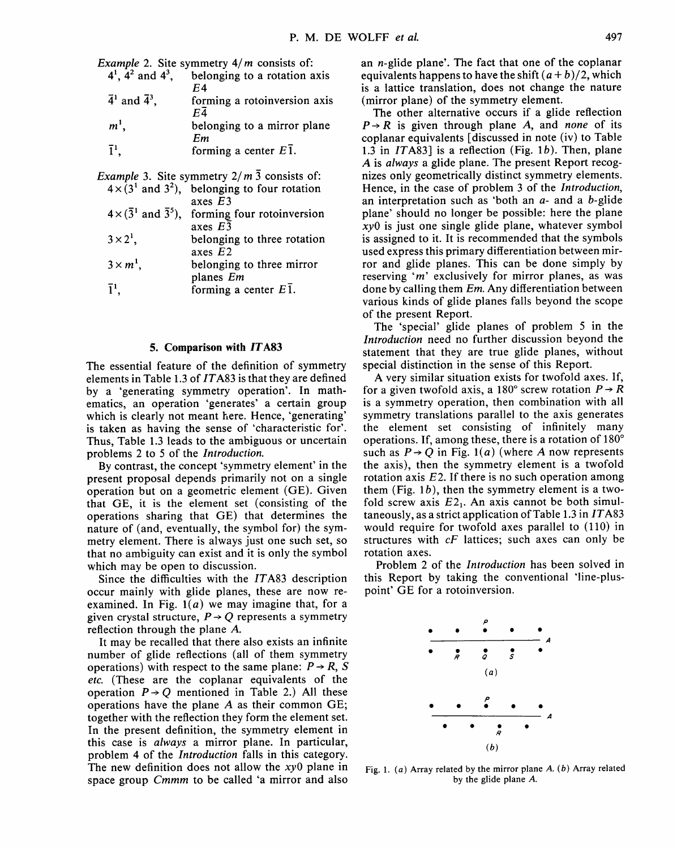|                                         | <i>Example</i> 2. Site symmetry $4/m$ consists of:     |
|-----------------------------------------|--------------------------------------------------------|
|                                         | $4^1$ , $4^2$ and $4^3$ , belonging to a rotation axis |
|                                         | F4                                                     |
| $\overline{4}^1$ and $\overline{4}^3$ , | forming a rotoinversion axis                           |
|                                         | FÃ                                                     |
| $m^1$ ,                                 | belonging to a mirror plane                            |
|                                         | Em                                                     |
| $\bar{1}^1$ ,                           | forming a center $E\overline{1}$ .                     |

*Example* 3. Site symmetry  $2/m\overline{3}$  consists of:

|                  | $4 \times (3'$ and $3'$ ), belonging to four rotation                                |
|------------------|--------------------------------------------------------------------------------------|
|                  | axes $E3$                                                                            |
|                  | $4 \times (\overline{3}^1 \text{ and } \overline{3}^5)$ , forming four rotoinversion |
|                  | axes $E3$                                                                            |
| $3\times2^1$ ,   | belonging to three rotation                                                          |
|                  | axes $E2$                                                                            |
| $3 \times m^1$ , | belonging to three mirror                                                            |
|                  | planes Em                                                                            |
| $\tilde{1}^1$ .  | forming a center $E1$ .                                                              |
|                  |                                                                                      |

### **5. Comparison with ITA83**

The essential feature of the definition of symmetry elements in Table 1.3 of ITA83 is that they are defined by a 'generating symmetry operation'. In mathematics, an operation 'generates' a certain group which is clearly not meant here. Hence, 'generating' is taken as having the sense of 'characteristic for'. Thus, Table 1.3 leads to the ambiguous or uncertain problems 2 to 5 of the *Introduction.* 

By contrast, the concept 'symmetry element' in the present proposal depends primarily not on a single operation but on a geometric element (GE). Given that GE, it is the element set (consisting of the operations sharing that GE) that determines the nature of (and, eventually, the symbol for) the symmetry element. There is always just one such set, so that no ambiguity can exist and it is only the symbol which may be open to discussion.

Since the difficulties with the ITA83 description occur mainly with glide planes, these are now reexamined. In Fig.  $1(a)$  we may imagine that, for a given crystal structure,  $P \rightarrow Q$  represents a symmetry reflection through the plane A.

It may be recalled that there also exists an infinite number of glide reflections (all of them symmetry operations) with respect to the same plane:  $P \rightarrow R$ , S *etc.* (These are the coplanar equivalents of the operation  $P \rightarrow O$  mentioned in Table 2.) All these operations have the plane  $A$  as their common GE; together with the reflection they form the element set. In the present definition, the symmetry element in this case is *always* a mirror plane. In particular, problem 4 of the *Introduction* falls in this category. The new definition does not allow the *xyO* plane in space group *Cmmm* to be called 'a mirror and also an n-glide plane'. The fact that one of the coplanar equivalents happens to have the shift  $(a + b)/2$ , which is a lattice translation, does not change the nature (mirror plane) of the symmetry element.

The other alternative occurs if a glide reflection  $P \rightarrow R$  is given through plane A, and *none* of its coplanar equivalents [discussed in note (iv) to Table 1.3 in ITA83] is a reflection (Fig. 1b). Then, plane A is *always* a glide plane. The present Report recognizes only geometrically distinct symmetry elements. Hence, in the case of problem 3 of the *Introduction,*  an interpretation such as 'both an a- and a b-glide plane' should no longer be possible: here the plane *xyO* is just one single glide plane, whatever symbol is assigned to it. It is recommended that the symbols used express this primary differentiation between mirror and glide planes. This can be done simply by reserving 'm' exclusively for mirror planes, as was done by calling them *Era.* Any differentiation between various kinds of glide planes falls beyond the scope of the present Report.

The 'special' glide planes of problem 5 in the *Introduction* need no further discussion beyond the statement that they are true glide planes, without special distinction in the sense of this Report.

A very similar situation exists for twofold axes. If, for a given twofold axis, a 180 $^{\circ}$  screw rotation  $P \rightarrow R$ is a symmetry operation, then combination with all symmetry translations parallel to the axis generates the element set consisting of infinitely many operations. If, among these, there is a rotation of 180° such as  $P \rightarrow Q$  in Fig. 1(a) (where A now represents the axis), then the symmetry element is a twofold rotation axis  $E2$ . If there is no such operation among them (Fig.  $1b$ ), then the symmetry element is a twofold screw axis  $E2<sub>1</sub>$ . An axis cannot be both simultaneously, as a strict application of Table 1.3 in ITA83 would require for twofold axes parallel to (110) in structures with *cF* lattices; such axes can only be rotation axes.

Problem 2 of the *Introduction* has been solved in this Report by taking the conventional 'line-pluspoint' GE for a rotoinversion.



Fig. 1. (a) Array related by the mirror plane A. (b) Array related by the glide plane A.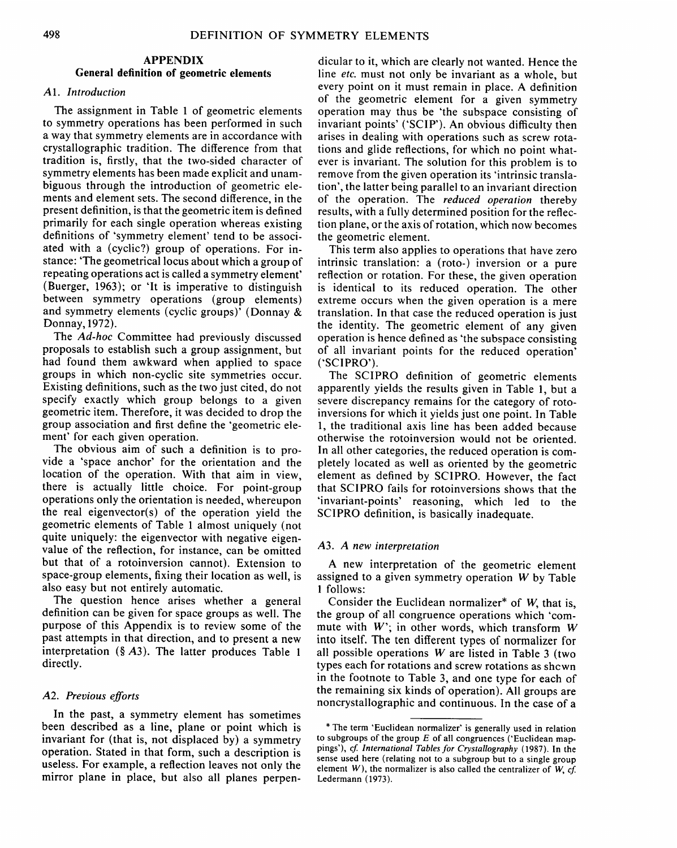## APPENDIX

## **General definition of geometric elements**

## *A1. Introduction*

The assignment in Table 1 of geometric elements to symmetry operations has been performed in such a way that symmetry elements are in accordance with crystallographic tradition. The difference from that tradition is, firstly, that the two-sided character of symmetry elements has been made explicit and unambiguous through the introduction of geometric elements and element sets. The second difference, in the present definition, is that the geometric item is defined primarily for each single operation whereas existing definitions of 'symmetry element' tend to be associated with a (cyclic?) group of operations. For instance: 'The geometrical locus about which a group of repeating operations act is called a symmetry element' (Buerger, 1963); or 'It is imperative to distinguish between symmetry operations (group elements) and symmetry elements (cyclic groups)<sup> $\cdot$ </sup> (Donnay & Donnay, 1972).

*The Ad-hoc* Committee had previously discussed proposals to establish such a group assignment, but had found them awkward when applied to space groups in which non-cyclic site symmetries occur. Existing definitions, such as the two just cited, do not specify exactly which group belongs to a given geometric item. Therefore, it was decided to drop the group association and first define the 'geometric element' for each given operation.

The obvious aim of such a definition is to provide a 'space anchor' for the orientation and the location of the operation. With that aim in view, there is actually little choice. For point-group operations only the orientation is needed, whereupon the real eigenvector(s) of the operation yield the geometric elements of Table 1 almost uniquely (not quite uniquely: the eigenvector with negative eigenvalue of the reflection, for instance, can be omitted but that of a rotoinversion cannot). Extension to space-group elements, fixing their location as well, is also easy but not entirely automatic.

The question hence arises whether a general definition can be given for space groups as well. The purpose of this Appendix is to review some of the past attempts in that direction, and to present a new interpretation (§ A3). The latter produces Table 1 directly.

### *A2. Previous efforts*

In the past, a symmetry element has sometimes been described as a line, plane or point which is invariant for (that is, not displaced by) a symmetry operation. Stated in that form, such a description is useless. For example, a reflection leaves not only the mirror plane in place, but also all planes perpen-

dicular to it, which are clearly not wanted. Hence the line *etc.* must not only be invariant as a whole, but every point on it must remain in place. A definition of the geometric element for a given symmetry operation may thus be 'the subspace consisting of invariant points' ('SCIP'). An obvious difficulty then arises in dealing with operations such as screw rotations and glide reflections, for which no point whatever is invariant. The solution for this problem is to remove from the given operation its 'intrinsic translation', the latter being parallel to an invariant direction of the operation. The *reduced operation* thereby results, with a fully determined position for the reflection plane, or the axis of rotation, which now becomes the geometric element.

This term also applies to operations that have zero intrinsic translation: a (roto-) inversion or a pure reflection or rotation. For these, the given operation is identical to its reduced operation. The other extreme occurs when the given operation is a mere translation. In that case the reduced operation is just the identity. The geometric element of any given operation is hence defined as 'the subspace consisting of all invariant points for the reduced operation' ('SCIPRO').

The SCIPRO definition of geometric elements apparently yields the results given in Table 1, but a severe discrepancy remains for the category of rotoinversions for which it yields just one point. In Table 1, the traditional axis line has been added because otherwise the rotoinversion would not be oriented. In all other categories, the reduced operation is completely located as well as oriented by the geometric element as defined by SCIPRO. However, the fact that SCIPRO fails for rotoinversions shows that the 'invariant-points' reasoning, which led to the SCIPRO definition, is basically inadequate.

### *A3. A new interpretation*

A new interpretation of the geometric element assigned to a given symmetry operation W by Table 1 follows:

Consider the Euclidean normalizer<sup>\*</sup> of W, that is, the group of all congruence operations which 'commute with  $W$ ; in other words, which transform  $W$ into itself. The ten different types of normalizer for all possible operations  $W$  are listed in Table 3 (two types each for rotations and screw rotations as shcwn in the footnote to Table 3, and one type for each of the remaining six kinds of operation). All groups are noncrystallographic and continuous. In the case of a

<sup>\*</sup> The term 'Euclidean normalizer' is generally used in relation to subgroups of the group  $E$  of all congruences ('Euclidean mappings'), *cf. International Tables for Crystallography (1987).* In the sense used here (relating not to a subgroup but to a single group **element W), the** normalizer is also called the centralizer of W, cf. Ledermann (1973).